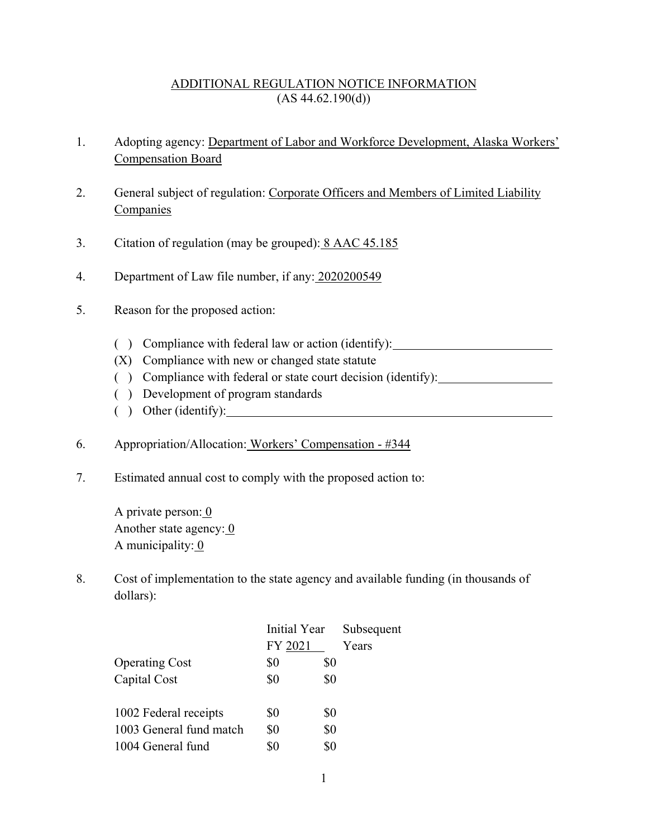## ADDITIONAL REGULATION NOTICE INFORMATION  $(AS 44.62.190(d))$

- 1. Adopting agency: Department of Labor and Workforce Development, Alaska Workers' Compensation Board
- 2. General subject of regulation: Corporate Officers and Members of Limited Liability **Companies**
- 3. Citation of regulation (may be grouped): 8 AAC 45.185
- 4. Department of Law file number, if any: 2020200549
- 5. Reason for the proposed action:
	- ( ) Compliance with federal law or action (identify):
	- (X) Compliance with new or changed state statute
	- ( ) Compliance with federal or state court decision (identify):
	- ( ) Development of program standards
	- ( ) Other (identify):
- 6. Appropriation/Allocation: Workers' Compensation #344
- 7. Estimated annual cost to comply with the proposed action to:

A private person:  $\overline{0}$ Another state agency:  $\overline{0}$ A municipality: 0

8. Cost of implementation to the state agency and available funding (in thousands of dollars):

| Initial Year |     | Subsequent |  |
|--------------|-----|------------|--|
| FY 2021      |     | Years      |  |
| \$0          | \$0 |            |  |
| \$0          | \$0 |            |  |
|              |     |            |  |
| \$0          | \$0 |            |  |
| \$0          | \$0 |            |  |
| \$0          | \$0 |            |  |
|              |     |            |  |